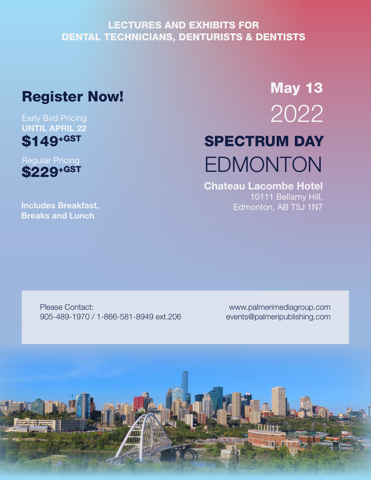## LECTURES AND EXHIBITS FOR DENTAL TECHNICIANS, DENTURISTS & DENTISTS

# Register Now!

### Early Bird Pricing UNTIL APRIL 22 \$149+GST



Includes Breakfast, Breaks and Lunch

# SPECTRUM DAY EDMONTON May 13 2022

#### Chateau Lacombe Hotel 10111 Bellamy Hill, Edmonton, AB T5J 1N7

Please Contact: 905-489-1970 / 1-866-581-8949 ext.206

www.palmerimediagroup.com events@palmeripublishing.com